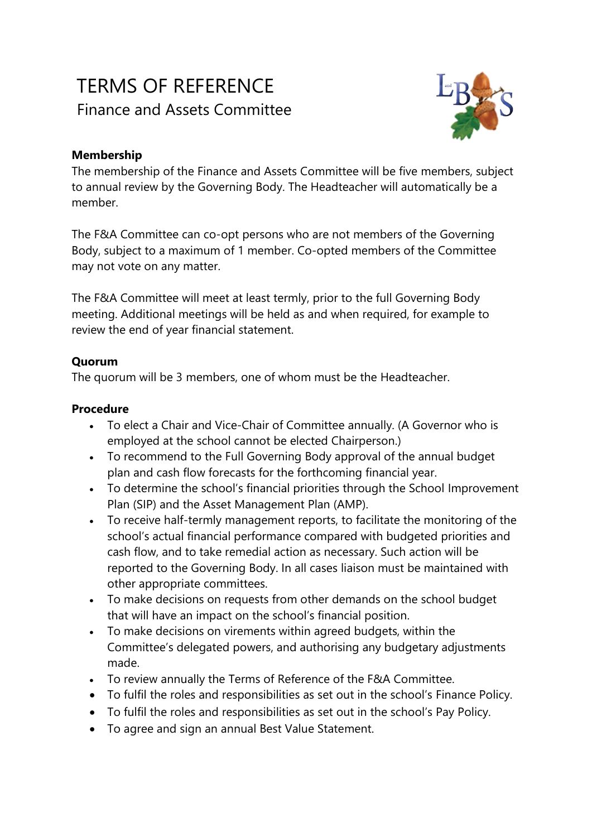# TERMS OF REFERENCE Finance and Assets Committee



## **Membership**

The membership of the Finance and Assets Committee will be five members, subject to annual review by the Governing Body. The Headteacher will automatically be a member.

The F&A Committee can co-opt persons who are not members of the Governing Body, subject to a maximum of 1 member. Co-opted members of the Committee may not vote on any matter.

The F&A Committee will meet at least termly, prior to the full Governing Body meeting. Additional meetings will be held as and when required, for example to review the end of year financial statement.

### **Quorum**

The quorum will be 3 members, one of whom must be the Headteacher.

#### **Procedure**

- To elect a Chair and Vice-Chair of Committee annually. (A Governor who is employed at the school cannot be elected Chairperson.)
- To recommend to the Full Governing Body approval of the annual budget plan and cash flow forecasts for the forthcoming financial year.
- To determine the school's financial priorities through the School Improvement Plan (SIP) and the Asset Management Plan (AMP).
- To receive half-termly management reports, to facilitate the monitoring of the school's actual financial performance compared with budgeted priorities and cash flow, and to take remedial action as necessary. Such action will be reported to the Governing Body. In all cases liaison must be maintained with other appropriate committees.
- To make decisions on requests from other demands on the school budget that will have an impact on the school's financial position.
- To make decisions on virements within agreed budgets, within the Committee's delegated powers, and authorising any budgetary adjustments made.
- To review annually the Terms of Reference of the F&A Committee.
- To fulfil the roles and responsibilities as set out in the school's Finance Policy.
- To fulfil the roles and responsibilities as set out in the school's Pay Policy.
- To agree and sign an annual Best Value Statement.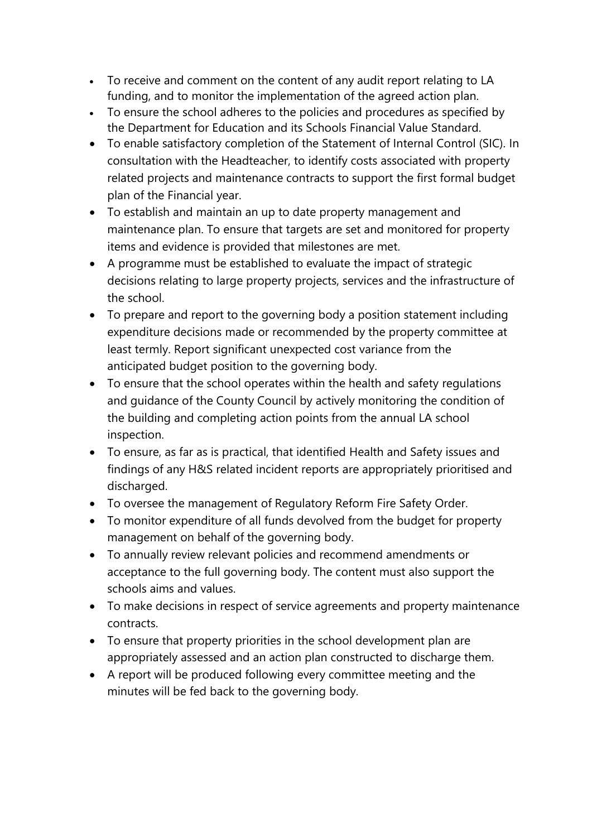- To receive and comment on the content of any audit report relating to LA funding, and to monitor the implementation of the agreed action plan.
- To ensure the school adheres to the policies and procedures as specified by the Department for Education and its Schools Financial Value Standard.
- To enable satisfactory completion of the Statement of Internal Control (SIC). In consultation with the Headteacher, to identify costs associated with property related projects and maintenance contracts to support the first formal budget plan of the Financial year.
- To establish and maintain an up to date property management and maintenance plan. To ensure that targets are set and monitored for property items and evidence is provided that milestones are met.
- A programme must be established to evaluate the impact of strategic decisions relating to large property projects, services and the infrastructure of the school.
- To prepare and report to the governing body a position statement including expenditure decisions made or recommended by the property committee at least termly. Report significant unexpected cost variance from the anticipated budget position to the governing body.
- To ensure that the school operates within the health and safety regulations and guidance of the County Council by actively monitoring the condition of the building and completing action points from the annual LA school inspection.
- To ensure, as far as is practical, that identified Health and Safety issues and findings of any H&S related incident reports are appropriately prioritised and discharged.
- To oversee the management of Regulatory Reform Fire Safety Order.
- To monitor expenditure of all funds devolved from the budget for property management on behalf of the governing body.
- To annually review relevant policies and recommend amendments or acceptance to the full governing body. The content must also support the schools aims and values.
- To make decisions in respect of service agreements and property maintenance contracts.
- To ensure that property priorities in the school development plan are appropriately assessed and an action plan constructed to discharge them.
- A report will be produced following every committee meeting and the minutes will be fed back to the governing body.